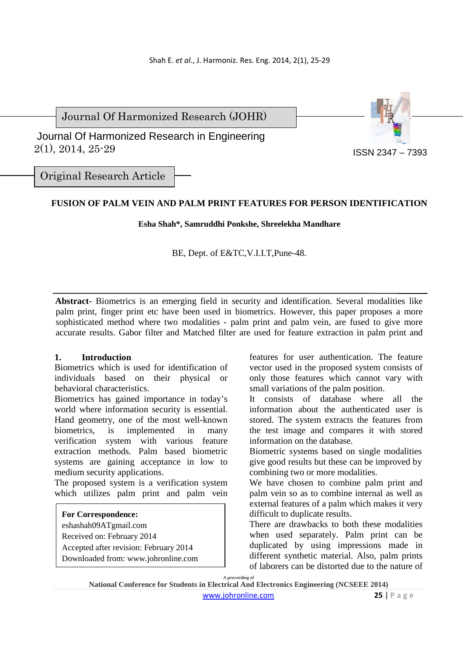Journal Of Harmonized Research (JOHR)

 2(1), 2014, 25-29 Journal Of Harmonized Research in Engineering



Original Research Article

# **FUSION OF PALM VEIN AND PALM PRINT FEATURES FOR PERSON IDENTIFICATION**

**Esha Shah\*, Samruddhi Ponkshe, Shreelekha Mandhare** 

BE, Dept. of E&TC,V.I.I.T,Pune-48.

**Abstract-** Biometrics is an emerging field in security and identification. Several modalities like palm print, finger print etc have been used in biometrics. However, this paper proposes a more sophisticated method where two modalities - palm print and palm vein, are fused to give more accurate results. Gabor filter and Matched filter are used for feature extraction in palm print and

# **1. Introduction**

Biometrics which is used for identification of individuals based on their physical or behavioral characteristics.

Biometrics has gained importance in today's world where information security is essential. Hand geometry, one of the most well-known biometrics, is implemented in many verification system with various feature extraction methods. Palm based biometric systems are gaining acceptance in low to medium security applications.

The proposed system is a verification system which utilizes palm print and palm vein

# **For Correspondence:**

eshashah09ATgmail.com Received on: February 2014 Accepted after revision: February 2014 Downloaded from: www.johronline.com features for user authentication. The feature vector used in the proposed system consists of only those features which cannot vary with small variations of the palm position.

It consists of database where all the information about the authenticated user is stored. The system extracts the features from the test image and compares it with stored information on the database.

Biometric systems based on single modalities give good results but these can be improved by combining two or more modalities.

We have chosen to combine palm print and palm vein so as to combine internal as well as external features of a palm which makes it very difficult to duplicate results.

There are drawbacks to both these modalities when used separately. Palm print can be duplicated by using impressions made in different synthetic material. Also, palm prints of laborers can be distorted due to the nature of

**A proceeding of** 

**National Conference for Students in Electrical And Electronics Engineering (NCSEEE 2014)** 

www.johronline.com **25** | P a g e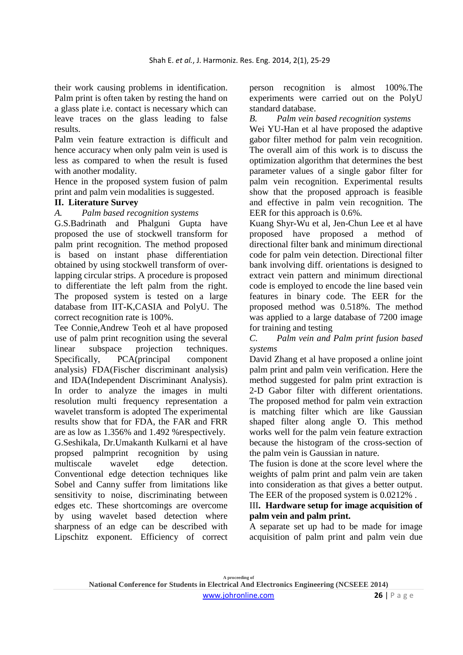their work causing problems in identification. Palm print is often taken by resting the hand on a glass plate i.e. contact is necessary which can leave traces on the glass leading to false results.

Palm vein feature extraction is difficult and hence accuracy when only palm vein is used is less as compared to when the result is fused with another modality.

Hence in the proposed system fusion of palm print and palm vein modalities is suggested.

# **II. Literature Survey**

### *A. Palm based recognition systems*

G.S.Badrinath and Phalguni Gupta have proposed the use of stockwell transform for palm print recognition. The method proposed is based on instant phase differentiation obtained by using stockwell transform of overlapping circular strips. A procedure is proposed to differentiate the left palm from the right. The proposed system is tested on a large database from IIT-K,CASIA and PolyU. The correct recognition rate is 100%.

Tee Connie,Andrew Teoh et al have proposed use of palm print recognition using the several linear subspace projection techniques. Specifically, PCA(principal component analysis) FDA(Fischer discriminant analysis) and IDA(Independent Discriminant Analysis). In order to analyze the images in multi resolution multi frequency representation a wavelet transform is adopted The experimental results show that for FDA, the FAR and FRR are as low as 1.356% and 1.492 %respectively. G.Seshikala, Dr.Umakanth Kulkarni et al have propsed palmprint recognition by using multiscale wavelet edge detection. Conventional edge detection techniques like Sobel and Canny suffer from limitations like sensitivity to noise, discriminating between edges etc. These shortcomings are overcome by using wavelet based detection where sharpness of an edge can be described with Lipschitz exponent. Efficiency of correct

person recognition is almost 100%.The experiments were carried out on the PolyU standard database.

*B. Palm vein based recognition systems* 

Wei YU-Han et al have proposed the adaptive gabor filter method for palm vein recognition. The overall aim of this work is to discuss the optimization algorithm that determines the best parameter values of a single gabor filter for palm vein recognition. Experimental results show that the proposed approach is feasible and effective in palm vein recognition. The EER for this approach is 0.6%.

Kuang Shyr-Wu et al, Jen-Chun Lee et al have proposed have proposed a method of directional filter bank and minimum directional code for palm vein detection. Directional filter bank involving diff. orientations is designed to extract vein pattern and minimum directional code is employed to encode the line based vein features in binary code. The EER for the proposed method was 0.518%. The method was applied to a large database of 7200 image for training and testing

## *C. Palm vein and Palm print fusion based systems*

David Zhang et al have proposed a online joint palm print and palm vein verification. Here the method suggested for palm print extraction is 2-D Gabor filter with different orientations. The proposed method for palm vein extraction is matching filter which are like Gaussian shaped filter along angle Ό. This method works well for the palm vein feature extraction because the histogram of the cross-section of the palm vein is Gaussian in nature.

The fusion is done at the score level where the weights of palm print and palm vein are taken into consideration as that gives a better output. The EER of the proposed system is 0.0212% .

# III**. Hardware setup for image acquisition of palm vein and palm print.**

A separate set up had to be made for image acquisition of palm print and palm vein due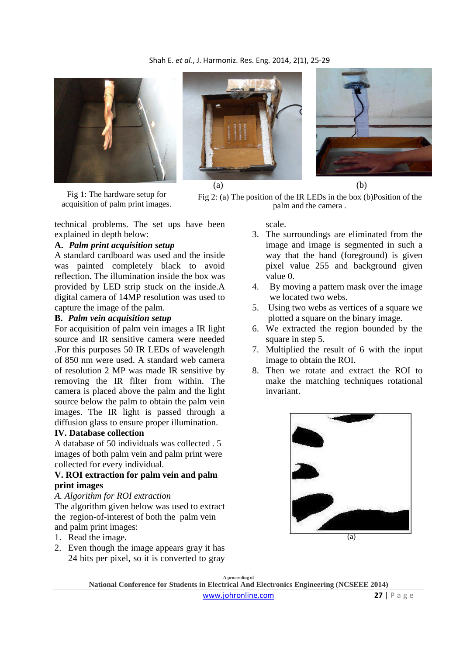

Fig 1: The hardware setup for acquisition of palm print images.



 $(a)$  (b)

Fig 2: (a) The position of the IR LEDs in the box (b)Position of the palm and the camera .

technical problems. The set ups have been explained in depth below:

# **A.** *Palm print acquisition setup*

A standard cardboard was used and the inside was painted completely black to avoid reflection. The illumination inside the box was provided by LED strip stuck on the inside.A digital camera of 14MP resolution was used to capture the image of the palm.

### **B.** *Palm vein acquisition setup*

For acquisition of palm vein images a IR light source and IR sensitive camera were needed .For this purposes 50 IR LEDs of wavelength of 850 nm were used. A standard web camera of resolution 2 MP was made IR sensitive by removing the IR filter from within. The camera is placed above the palm and the light source below the palm to obtain the palm vein images. The IR light is passed through a diffusion glass to ensure proper illumination.

## **IV. Database collection**

A database of 50 individuals was collected . 5 images of both palm vein and palm print were collected for every individual.

# **V. ROI extraction for palm vein and palm print images**

#### *A. Algorithm for ROI extraction*

The algorithm given below was used to extract the region-of-interest of both the palm vein and palm print images:

- 1. Read the image.
- 2. Even though the image appears gray it has 24 bits per pixel, so it is converted to gray

scale.

- 3. The surroundings are eliminated from the image and image is segmented in such a way that the hand (foreground) is given pixel value 255 and background given value 0.
- 4. By moving a pattern mask over the image we located two webs.
- 5. Using two webs as vertices of a square we plotted a square on the binary image.
- 6. We extracted the region bounded by the square in step 5.
- 7. Multiplied the result of 6 with the input image to obtain the ROI.
- 8. Then we rotate and extract the ROI to make the matching techniques rotational invariant.



 $(a)$ 

**A proceeding of National Conference for Students in Electrical And Electronics Engineering (NCSEEE 2014)**  www.johronline.com **27** | P a g e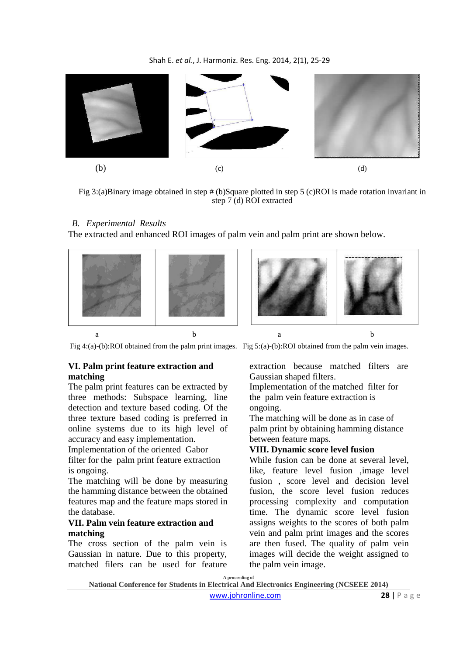

Fig 3:(a)Binary image obtained in step # (b)Square plotted in step 5 (c)ROI is made rotation invariant in step 7 (d) ROI extracted

## *B. Experimental Results*

The extracted and enhanced ROI images of palm vein and palm print are shown below.



Fig 4:(a)-(b):ROI obtained from the palm print images. Fig 5:(a)-(b):ROI obtained from the palm vein images.

### **VI. Palm print feature extraction and matching**

The palm print features can be extracted by three methods: Subspace learning, line detection and texture based coding. Of the three texture based coding is preferred in online systems due to its high level of accuracy and easy implementation.

Implementation of the oriented Gabor filter for the palm print feature extraction is ongoing.

The matching will be done by measuring the hamming distance between the obtained features map and the feature maps stored in the database.

### **VII. Palm vein feature extraction and matching**

The cross section of the palm vein is Gaussian in nature. Due to this property, matched filers can be used for feature extraction because matched filters are Gaussian shaped filters.

Implementation of the matched filter for the palm vein feature extraction is ongoing.

The matching will be done as in case of palm print by obtaining hamming distance between feature maps.

# **VIII. Dynamic score level fusion**

While fusion can be done at several level, like, feature level fusion ,image level fusion , score level and decision level fusion, the score level fusion reduces processing complexity and computation time. The dynamic score level fusion assigns weights to the scores of both palm vein and palm print images and the scores are then fused. The quality of palm vein images will decide the weight assigned to the palm vein image.

**A proceeding of**